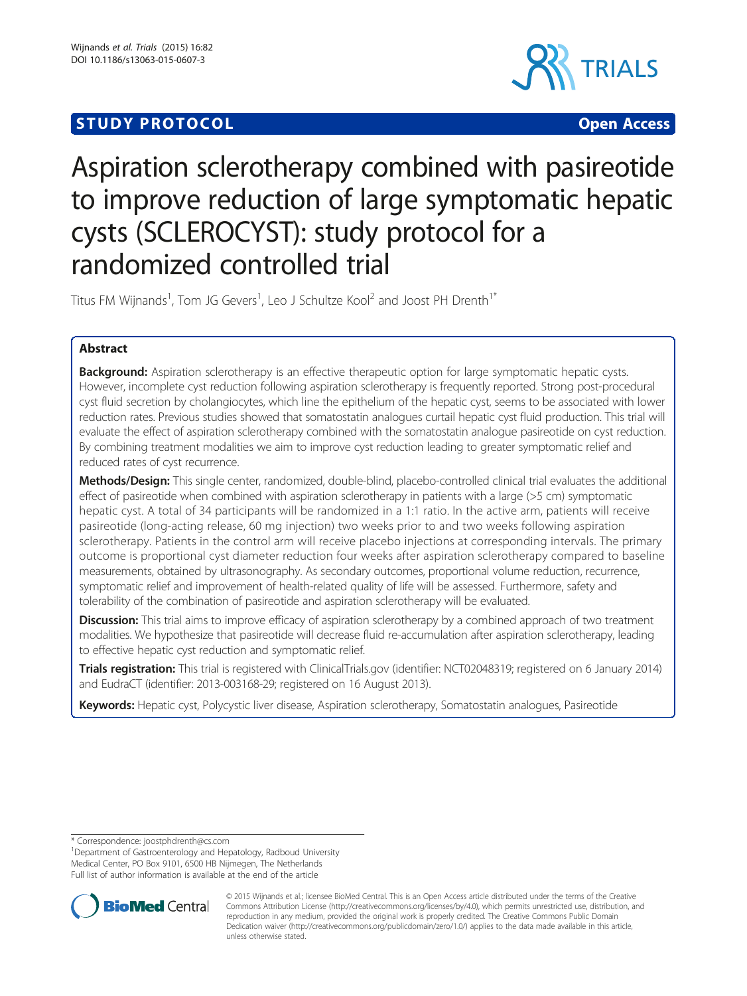# **STUDY PROTOCOL CONSUMING THE CONSUMING OPEN ACCESS**



# Aspiration sclerotherapy combined with pasireotide to improve reduction of large symptomatic hepatic cysts (SCLEROCYST): study protocol for a randomized controlled trial

Titus FM Wijnands<sup>1</sup>, Tom JG Gevers<sup>1</sup>, Leo J Schultze Kool<sup>2</sup> and Joost PH Drenth<sup>1\*</sup>

# Abstract

**Background:** Aspiration sclerotherapy is an effective therapeutic option for large symptomatic hepatic cysts. However, incomplete cyst reduction following aspiration sclerotherapy is frequently reported. Strong post-procedural cyst fluid secretion by cholangiocytes, which line the epithelium of the hepatic cyst, seems to be associated with lower reduction rates. Previous studies showed that somatostatin analogues curtail hepatic cyst fluid production. This trial will evaluate the effect of aspiration sclerotherapy combined with the somatostatin analogue pasireotide on cyst reduction. By combining treatment modalities we aim to improve cyst reduction leading to greater symptomatic relief and reduced rates of cyst recurrence.

Methods/Design: This single center, randomized, double-blind, placebo-controlled clinical trial evaluates the additional effect of pasireotide when combined with aspiration sclerotherapy in patients with a large (>5 cm) symptomatic hepatic cyst. A total of 34 participants will be randomized in a 1:1 ratio. In the active arm, patients will receive pasireotide (long-acting release, 60 mg injection) two weeks prior to and two weeks following aspiration sclerotherapy. Patients in the control arm will receive placebo injections at corresponding intervals. The primary outcome is proportional cyst diameter reduction four weeks after aspiration sclerotherapy compared to baseline measurements, obtained by ultrasonography. As secondary outcomes, proportional volume reduction, recurrence, symptomatic relief and improvement of health-related quality of life will be assessed. Furthermore, safety and tolerability of the combination of pasireotide and aspiration sclerotherapy will be evaluated.

**Discussion:** This trial aims to improve efficacy of aspiration sclerotherapy by a combined approach of two treatment modalities. We hypothesize that pasireotide will decrease fluid re-accumulation after aspiration sclerotherapy, leading to effective hepatic cyst reduction and symptomatic relief.

Trials registration: This trial is registered with ClinicalTrials.gov (identifier: [NCT02048319](https://clinicaltrials.gov/ct2/show/NCT02048319); registered on 6 January 2014) and EudraCT (identifier: 2013-003168-29; registered on 16 August 2013).

Keywords: Hepatic cyst, Polycystic liver disease, Aspiration sclerotherapy, Somatostatin analogues, Pasireotide

\* Correspondence: [joostphdrenth@cs.com](mailto:joostphdrenth@cs.com) <sup>1</sup>

<sup>1</sup>Department of Gastroenterology and Hepatology, Radboud University Medical Center, PO Box 9101, 6500 HB Nijmegen, The Netherlands Full list of author information is available at the end of the article



© 2015 Wijnands et al.; licensee BioMed Central. This is an Open Access article distributed under the terms of the Creative Commons Attribution License [\(http://creativecommons.org/licenses/by/4.0\)](http://creativecommons.org/licenses/by/4.0), which permits unrestricted use, distribution, and reproduction in any medium, provided the original work is properly credited. The Creative Commons Public Domain Dedication waiver [\(http://creativecommons.org/publicdomain/zero/1.0/](http://creativecommons.org/publicdomain/zero/1.0/)) applies to the data made available in this article, unless otherwise stated.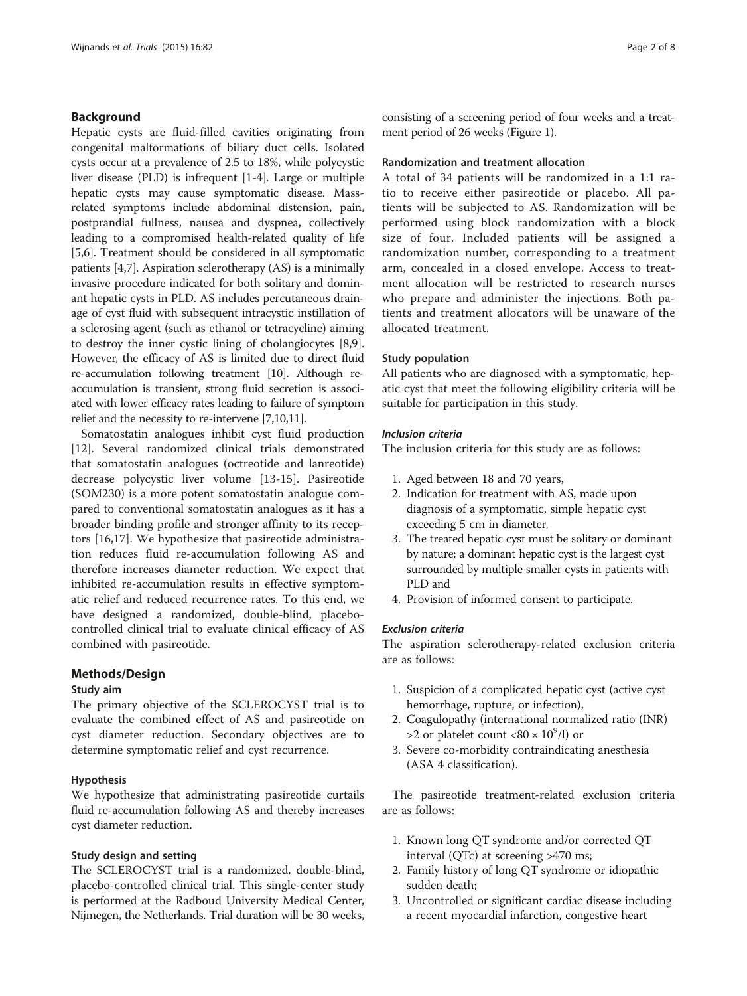# Background

Hepatic cysts are fluid-filled cavities originating from congenital malformations of biliary duct cells. Isolated cysts occur at a prevalence of 2.5 to 18%, while polycystic liver disease (PLD) is infrequent [\[1](#page-6-0)-[4](#page-6-0)]. Large or multiple hepatic cysts may cause symptomatic disease. Massrelated symptoms include abdominal distension, pain, postprandial fullness, nausea and dyspnea, collectively leading to a compromised health-related quality of life [[5,6](#page-6-0)]. Treatment should be considered in all symptomatic patients [[4,7\]](#page-6-0). Aspiration sclerotherapy (AS) is a minimally invasive procedure indicated for both solitary and dominant hepatic cysts in PLD. AS includes percutaneous drainage of cyst fluid with subsequent intracystic instillation of a sclerosing agent (such as ethanol or tetracycline) aiming to destroy the inner cystic lining of cholangiocytes [[8](#page-6-0),[9](#page-6-0)]. However, the efficacy of AS is limited due to direct fluid re-accumulation following treatment [\[10](#page-6-0)]. Although reaccumulation is transient, strong fluid secretion is associated with lower efficacy rates leading to failure of symptom relief and the necessity to re-intervene [\[7,10,11](#page-6-0)].

Somatostatin analogues inhibit cyst fluid production [[12\]](#page-6-0). Several randomized clinical trials demonstrated that somatostatin analogues (octreotide and lanreotide) decrease polycystic liver volume [\[13](#page-6-0)-[15](#page-6-0)]. Pasireotide (SOM230) is a more potent somatostatin analogue compared to conventional somatostatin analogues as it has a broader binding profile and stronger affinity to its receptors [[16](#page-6-0),[17](#page-6-0)]. We hypothesize that pasireotide administration reduces fluid re-accumulation following AS and therefore increases diameter reduction. We expect that inhibited re-accumulation results in effective symptomatic relief and reduced recurrence rates. To this end, we have designed a randomized, double-blind, placebocontrolled clinical trial to evaluate clinical efficacy of AS combined with pasireotide.

# Methods/Design

# Study aim

The primary objective of the SCLEROCYST trial is to evaluate the combined effect of AS and pasireotide on cyst diameter reduction. Secondary objectives are to determine symptomatic relief and cyst recurrence.

# Hypothesis

We hypothesize that administrating pasireotide curtails fluid re-accumulation following AS and thereby increases cyst diameter reduction.

# Study design and setting

The SCLEROCYST trial is a randomized, double-blind, placebo-controlled clinical trial. This single-center study is performed at the Radboud University Medical Center, Nijmegen, the Netherlands. Trial duration will be 30 weeks,

consisting of a screening period of four weeks and a treatment period of 26 weeks (Figure [1\)](#page-2-0).

# Randomization and treatment allocation

A total of 34 patients will be randomized in a 1:1 ratio to receive either pasireotide or placebo. All patients will be subjected to AS. Randomization will be performed using block randomization with a block size of four. Included patients will be assigned a randomization number, corresponding to a treatment arm, concealed in a closed envelope. Access to treatment allocation will be restricted to research nurses who prepare and administer the injections. Both patients and treatment allocators will be unaware of the allocated treatment.

# Study population

All patients who are diagnosed with a symptomatic, hepatic cyst that meet the following eligibility criteria will be suitable for participation in this study.

#### Inclusion criteria

The inclusion criteria for this study are as follows:

- 1. Aged between 18 and 70 years,
- 2. Indication for treatment with AS, made upon diagnosis of a symptomatic, simple hepatic cyst exceeding 5 cm in diameter,
- 3. The treated hepatic cyst must be solitary or dominant by nature; a dominant hepatic cyst is the largest cyst surrounded by multiple smaller cysts in patients with PLD and
- 4. Provision of informed consent to participate.

# Exclusion criteria

The aspiration sclerotherapy-related exclusion criteria are as follows:

- 1. Suspicion of a complicated hepatic cyst (active cyst hemorrhage, rupture, or infection),
- 2. Coagulopathy (international normalized ratio (INR) >2 or platelet count <80  $\times$  10<sup>9</sup>/l) or
- 3. Severe co-morbidity contraindicating anesthesia (ASA 4 classification).

The pasireotide treatment-related exclusion criteria are as follows:

- 1. Known long QT syndrome and/or corrected QT interval (QTc) at screening >470 ms;
- 2. Family history of long QT syndrome or idiopathic sudden death;
- 3. Uncontrolled or significant cardiac disease including a recent myocardial infarction, congestive heart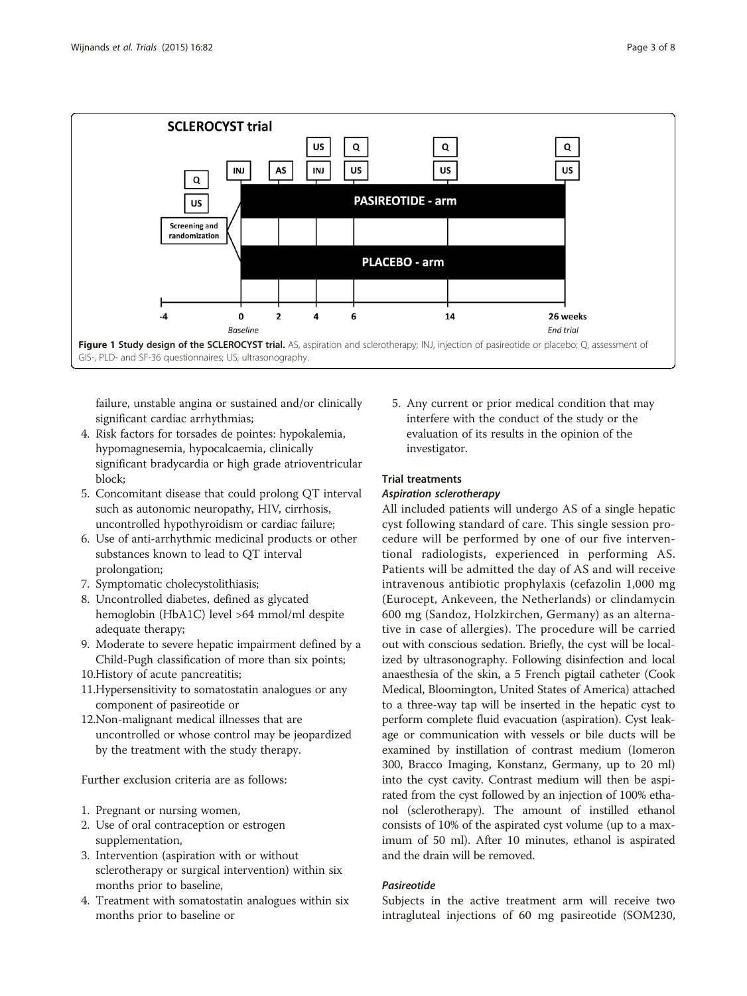<span id="page-2-0"></span>

failure, unstable angina or sustained and/or clinically significant cardiac arrhythmias;

- 4. Risk factors for torsades de pointes: hypokalemia, hypomagnesemia, hypocalcaemia, clinically significant bradycardia or high grade atrioventricular block;
- 5. Concomitant disease that could prolong QT interval such as autonomic neuropathy, HIV, cirrhosis, uncontrolled hypothyroidism or cardiac failure;
- 6. Use of anti-arrhythmic medicinal products or other substances known to lead to QT interval prolongation;
- 7. Symptomatic cholecystolithiasis;
- 8. Uncontrolled diabetes, defined as glycated hemoglobin (HbA1C) level >64 mmol/ml despite adequate therapy;
- 9. Moderate to severe hepatic impairment defined by a Child-Pugh classification of more than six points;
- 10.History of acute pancreatitis;
- 11.Hypersensitivity to somatostatin analogues or any component of pasireotide or
- 12.Non-malignant medical illnesses that are uncontrolled or whose control may be jeopardized by the treatment with the study therapy.

Further exclusion criteria are as follows:

- 1. Pregnant or nursing women,
- 2. Use of oral contraception or estrogen supplementation,
- 3. Intervention (aspiration with or without sclerotherapy or surgical intervention) within six months prior to baseline,
- 4. Treatment with somatostatin analogues within six months prior to baseline or

5. Any current or prior medical condition that may interfere with the conduct of the study or the evaluation of its results in the opinion of the investigator.

# Trial treatments

# Aspiration sclerotherapy

All included patients will undergo AS of a single hepatic cyst following standard of care. This single session procedure will be performed by one of our five interventional radiologists, experienced in performing AS. Patients will be admitted the day of AS and will receive intravenous antibiotic prophylaxis (cefazolin 1,000 mg (Eurocept, Ankeveen, the Netherlands) or clindamycin 600 mg (Sandoz, Holzkirchen, Germany) as an alternative in case of allergies). The procedure will be carried out with conscious sedation. Briefly, the cyst will be localized by ultrasonography. Following disinfection and local anaesthesia of the skin, a 5 French pigtail catheter (Cook Medical, Bloomington, United States of America) attached to a three-way tap will be inserted in the hepatic cyst to perform complete fluid evacuation (aspiration). Cyst leakage or communication with vessels or bile ducts will be examined by instillation of contrast medium (Iomeron 300, Bracco Imaging, Konstanz, Germany, up to 20 ml) into the cyst cavity. Contrast medium will then be aspirated from the cyst followed by an injection of 100% ethanol (sclerotherapy). The amount of instilled ethanol consists of 10% of the aspirated cyst volume (up to a maximum of 50 ml). After 10 minutes, ethanol is aspirated and the drain will be removed.

# Pasireotide

Subjects in the active treatment arm will receive two intragluteal injections of 60 mg pasireotide (SOM230,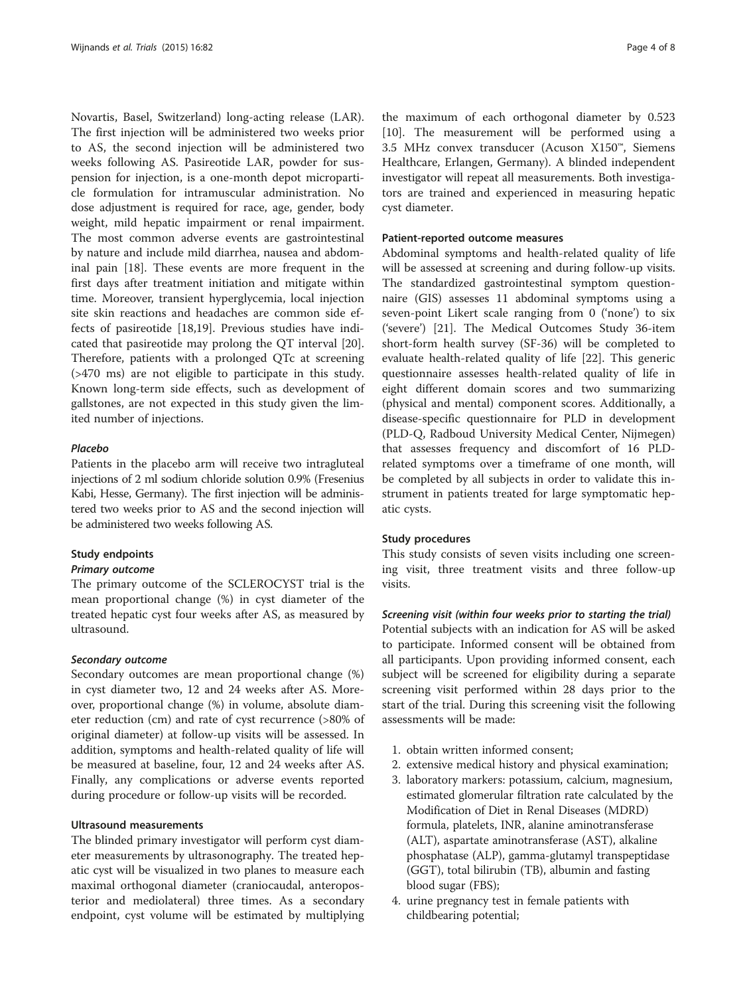Novartis, Basel, Switzerland) long-acting release (LAR). The first injection will be administered two weeks prior to AS, the second injection will be administered two weeks following AS. Pasireotide LAR, powder for suspension for injection, is a one-month depot microparticle formulation for intramuscular administration. No dose adjustment is required for race, age, gender, body weight, mild hepatic impairment or renal impairment. The most common adverse events are gastrointestinal by nature and include mild diarrhea, nausea and abdominal pain [\[18\]](#page-6-0). These events are more frequent in the first days after treatment initiation and mitigate within time. Moreover, transient hyperglycemia, local injection site skin reactions and headaches are common side effects of pasireotide [[18](#page-6-0),[19](#page-6-0)]. Previous studies have indicated that pasireotide may prolong the QT interval [\[20](#page-6-0)]. Therefore, patients with a prolonged QTc at screening (>470 ms) are not eligible to participate in this study. Known long-term side effects, such as development of gallstones, are not expected in this study given the limited number of injections.

#### Placebo

Patients in the placebo arm will receive two intragluteal injections of 2 ml sodium chloride solution 0.9% (Fresenius Kabi, Hesse, Germany). The first injection will be administered two weeks prior to AS and the second injection will be administered two weeks following AS.

#### Study endpoints

#### Primary outcome

The primary outcome of the SCLEROCYST trial is the mean proportional change (%) in cyst diameter of the treated hepatic cyst four weeks after AS, as measured by ultrasound.

#### Secondary outcome

Secondary outcomes are mean proportional change (%) in cyst diameter two, 12 and 24 weeks after AS. Moreover, proportional change (%) in volume, absolute diameter reduction (cm) and rate of cyst recurrence (>80% of original diameter) at follow-up visits will be assessed. In addition, symptoms and health-related quality of life will be measured at baseline, four, 12 and 24 weeks after AS. Finally, any complications or adverse events reported during procedure or follow-up visits will be recorded.

# Ultrasound measurements

The blinded primary investigator will perform cyst diameter measurements by ultrasonography. The treated hepatic cyst will be visualized in two planes to measure each maximal orthogonal diameter (craniocaudal, anteroposterior and mediolateral) three times. As a secondary endpoint, cyst volume will be estimated by multiplying

the maximum of each orthogonal diameter by 0.523 [[10\]](#page-6-0). The measurement will be performed using a 3.5 MHz convex transducer (Acuson X150™, Siemens Healthcare, Erlangen, Germany). A blinded independent investigator will repeat all measurements. Both investigators are trained and experienced in measuring hepatic cyst diameter.

#### Patient-reported outcome measures

Abdominal symptoms and health-related quality of life will be assessed at screening and during follow-up visits. The standardized gastrointestinal symptom questionnaire (GIS) assesses 11 abdominal symptoms using a seven-point Likert scale ranging from 0 ('none') to six ('severe') [[21\]](#page-6-0). The Medical Outcomes Study 36-item short-form health survey (SF-36) will be completed to evaluate health-related quality of life [\[22\]](#page-6-0). This generic questionnaire assesses health-related quality of life in eight different domain scores and two summarizing (physical and mental) component scores. Additionally, a disease-specific questionnaire for PLD in development (PLD-Q, Radboud University Medical Center, Nijmegen) that assesses frequency and discomfort of 16 PLDrelated symptoms over a timeframe of one month, will be completed by all subjects in order to validate this instrument in patients treated for large symptomatic hepatic cysts.

# Study procedures

This study consists of seven visits including one screening visit, three treatment visits and three follow-up visits.

Screening visit (within four weeks prior to starting the trial) Potential subjects with an indication for AS will be asked to participate. Informed consent will be obtained from all participants. Upon providing informed consent, each subject will be screened for eligibility during a separate screening visit performed within 28 days prior to the start of the trial. During this screening visit the following assessments will be made:

- 1. obtain written informed consent;
- 2. extensive medical history and physical examination;
- 3. laboratory markers: potassium, calcium, magnesium, estimated glomerular filtration rate calculated by the Modification of Diet in Renal Diseases (MDRD) formula, platelets, INR, alanine aminotransferase (ALT), aspartate aminotransferase (AST), alkaline phosphatase (ALP), gamma-glutamyl transpeptidase (GGT), total bilirubin (TB), albumin and fasting blood sugar (FBS);
- 4. urine pregnancy test in female patients with childbearing potential;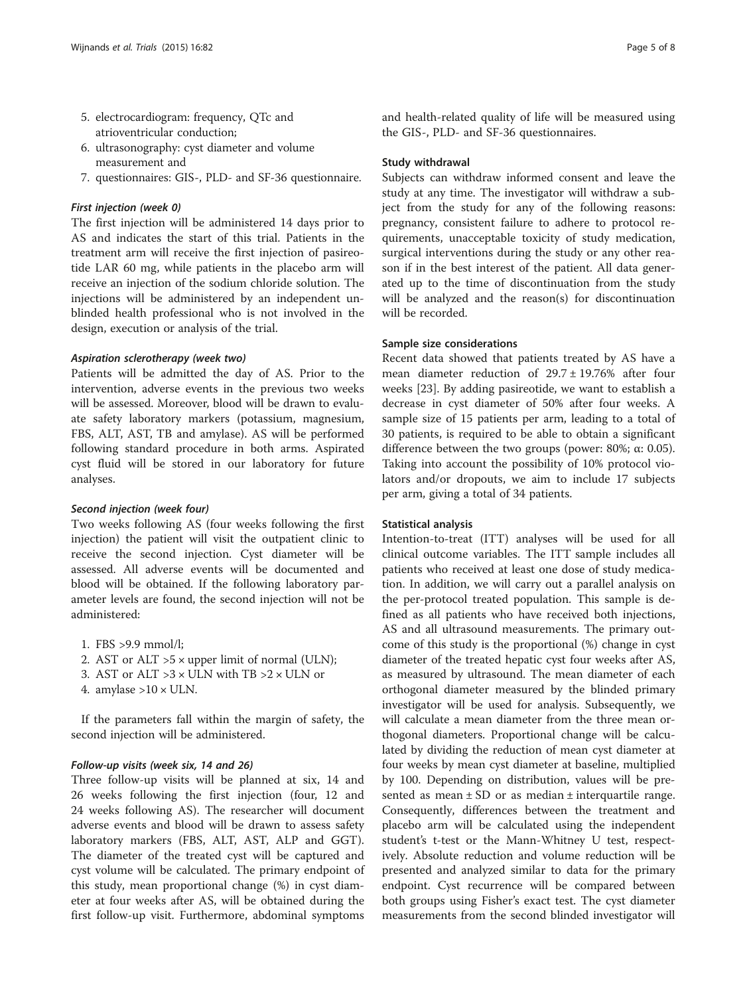- 5. electrocardiogram: frequency, QTc and atrioventricular conduction;
- 6. ultrasonography: cyst diameter and volume measurement and
- 7. questionnaires: GIS-, PLD- and SF-36 questionnaire.

# First injection (week 0)

The first injection will be administered 14 days prior to AS and indicates the start of this trial. Patients in the treatment arm will receive the first injection of pasireotide LAR 60 mg, while patients in the placebo arm will receive an injection of the sodium chloride solution. The injections will be administered by an independent unblinded health professional who is not involved in the design, execution or analysis of the trial.

# Aspiration sclerotherapy (week two)

Patients will be admitted the day of AS. Prior to the intervention, adverse events in the previous two weeks will be assessed. Moreover, blood will be drawn to evaluate safety laboratory markers (potassium, magnesium, FBS, ALT, AST, TB and amylase). AS will be performed following standard procedure in both arms. Aspirated cyst fluid will be stored in our laboratory for future analyses.

#### Second injection (week four)

Two weeks following AS (four weeks following the first injection) the patient will visit the outpatient clinic to receive the second injection. Cyst diameter will be assessed. All adverse events will be documented and blood will be obtained. If the following laboratory parameter levels are found, the second injection will not be administered:

- 1. FBS >9.9 mmol/l;
- 2. AST or ALT  $>5 \times$  upper limit of normal (ULN);
- 3. AST or ALT  $>3 \times$  ULN with TB  $>2 \times$  ULN or
- 4. amylase  $>10 \times$  ULN.

If the parameters fall within the margin of safety, the second injection will be administered.

#### Follow-up visits (week six, 14 and 26)

Three follow-up visits will be planned at six, 14 and 26 weeks following the first injection (four, 12 and 24 weeks following AS). The researcher will document adverse events and blood will be drawn to assess safety laboratory markers (FBS, ALT, AST, ALP and GGT). The diameter of the treated cyst will be captured and cyst volume will be calculated. The primary endpoint of this study, mean proportional change (%) in cyst diameter at four weeks after AS, will be obtained during the first follow-up visit. Furthermore, abdominal symptoms

and health-related quality of life will be measured using the GIS-, PLD- and SF-36 questionnaires.

#### Study withdrawal

Subjects can withdraw informed consent and leave the study at any time. The investigator will withdraw a subject from the study for any of the following reasons: pregnancy, consistent failure to adhere to protocol requirements, unacceptable toxicity of study medication, surgical interventions during the study or any other reason if in the best interest of the patient. All data generated up to the time of discontinuation from the study will be analyzed and the reason(s) for discontinuation will be recorded.

#### Sample size considerations

Recent data showed that patients treated by AS have a mean diameter reduction of  $29.7 \pm 19.76$ % after four weeks [\[23](#page-6-0)]. By adding pasireotide, we want to establish a decrease in cyst diameter of 50% after four weeks. A sample size of 15 patients per arm, leading to a total of 30 patients, is required to be able to obtain a significant difference between the two groups (power: 80%; α: 0.05). Taking into account the possibility of 10% protocol violators and/or dropouts, we aim to include 17 subjects per arm, giving a total of 34 patients.

#### Statistical analysis

Intention-to-treat (ITT) analyses will be used for all clinical outcome variables. The ITT sample includes all patients who received at least one dose of study medication. In addition, we will carry out a parallel analysis on the per-protocol treated population. This sample is defined as all patients who have received both injections, AS and all ultrasound measurements. The primary outcome of this study is the proportional (%) change in cyst diameter of the treated hepatic cyst four weeks after AS, as measured by ultrasound. The mean diameter of each orthogonal diameter measured by the blinded primary investigator will be used for analysis. Subsequently, we will calculate a mean diameter from the three mean orthogonal diameters. Proportional change will be calculated by dividing the reduction of mean cyst diameter at four weeks by mean cyst diameter at baseline, multiplied by 100. Depending on distribution, values will be presented as mean  $\pm$  SD or as median  $\pm$  interquartile range. Consequently, differences between the treatment and placebo arm will be calculated using the independent student's t-test or the Mann-Whitney U test, respectively. Absolute reduction and volume reduction will be presented and analyzed similar to data for the primary endpoint. Cyst recurrence will be compared between both groups using Fisher's exact test. The cyst diameter measurements from the second blinded investigator will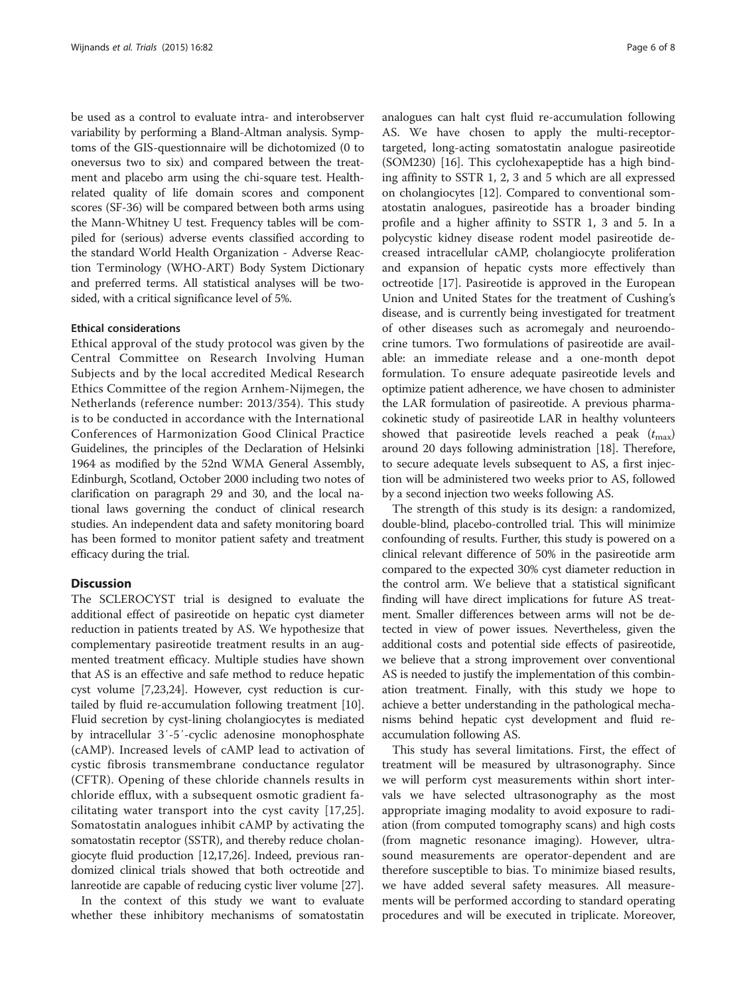be used as a control to evaluate intra- and interobserver variability by performing a Bland-Altman analysis. Symptoms of the GIS-questionnaire will be dichotomized (0 to oneversus two to six) and compared between the treatment and placebo arm using the chi-square test. Healthrelated quality of life domain scores and component scores (SF-36) will be compared between both arms using the Mann-Whitney U test. Frequency tables will be compiled for (serious) adverse events classified according to the standard World Health Organization - Adverse Reaction Terminology (WHO-ART) Body System Dictionary and preferred terms. All statistical analyses will be twosided, with a critical significance level of 5%.

#### Ethical considerations

Ethical approval of the study protocol was given by the Central Committee on Research Involving Human Subjects and by the local accredited Medical Research Ethics Committee of the region Arnhem-Nijmegen, the Netherlands (reference number: 2013/354). This study is to be conducted in accordance with the International Conferences of Harmonization Good Clinical Practice Guidelines, the principles of the Declaration of Helsinki 1964 as modified by the 52nd WMA General Assembly, Edinburgh, Scotland, October 2000 including two notes of clarification on paragraph 29 and 30, and the local national laws governing the conduct of clinical research studies. An independent data and safety monitoring board has been formed to monitor patient safety and treatment efficacy during the trial.

# **Discussion**

The SCLEROCYST trial is designed to evaluate the additional effect of pasireotide on hepatic cyst diameter reduction in patients treated by AS. We hypothesize that complementary pasireotide treatment results in an augmented treatment efficacy. Multiple studies have shown that AS is an effective and safe method to reduce hepatic cyst volume [[7](#page-6-0),[23](#page-6-0),[24](#page-7-0)]. However, cyst reduction is curtailed by fluid re-accumulation following treatment [\[10](#page-6-0)]. Fluid secretion by cyst-lining cholangiocytes is mediated by intracellular 3′-5′-cyclic adenosine monophosphate (cAMP). Increased levels of cAMP lead to activation of cystic fibrosis transmembrane conductance regulator (CFTR). Opening of these chloride channels results in chloride efflux, with a subsequent osmotic gradient facilitating water transport into the cyst cavity [\[17,](#page-6-0)[25](#page-7-0)]. Somatostatin analogues inhibit cAMP by activating the somatostatin receptor (SSTR), and thereby reduce cholangiocyte fluid production [\[12,17,](#page-6-0)[26](#page-7-0)]. Indeed, previous randomized clinical trials showed that both octreotide and lanreotide are capable of reducing cystic liver volume [\[27\]](#page-7-0).

In the context of this study we want to evaluate whether these inhibitory mechanisms of somatostatin analogues can halt cyst fluid re-accumulation following AS. We have chosen to apply the multi-receptortargeted, long-acting somatostatin analogue pasireotide (SOM230) [[16](#page-6-0)]. This cyclohexapeptide has a high binding affinity to SSTR 1, 2, 3 and 5 which are all expressed on cholangiocytes [\[12\]](#page-6-0). Compared to conventional somatostatin analogues, pasireotide has a broader binding profile and a higher affinity to SSTR 1, 3 and 5. In a polycystic kidney disease rodent model pasireotide decreased intracellular cAMP, cholangiocyte proliferation and expansion of hepatic cysts more effectively than octreotide [[17\]](#page-6-0). Pasireotide is approved in the European Union and United States for the treatment of Cushing's disease, and is currently being investigated for treatment of other diseases such as acromegaly and neuroendocrine tumors. Two formulations of pasireotide are available: an immediate release and a one-month depot formulation. To ensure adequate pasireotide levels and optimize patient adherence, we have chosen to administer the LAR formulation of pasireotide. A previous pharmacokinetic study of pasireotide LAR in healthy volunteers showed that pasireotide levels reached a peak  $(t_{\text{max}})$ around 20 days following administration [\[18\]](#page-6-0). Therefore, to secure adequate levels subsequent to AS, a first injection will be administered two weeks prior to AS, followed by a second injection two weeks following AS.

The strength of this study is its design: a randomized, double-blind, placebo-controlled trial. This will minimize confounding of results. Further, this study is powered on a clinical relevant difference of 50% in the pasireotide arm compared to the expected 30% cyst diameter reduction in the control arm. We believe that a statistical significant finding will have direct implications for future AS treatment. Smaller differences between arms will not be detected in view of power issues. Nevertheless, given the additional costs and potential side effects of pasireotide, we believe that a strong improvement over conventional AS is needed to justify the implementation of this combination treatment. Finally, with this study we hope to achieve a better understanding in the pathological mechanisms behind hepatic cyst development and fluid reaccumulation following AS.

This study has several limitations. First, the effect of treatment will be measured by ultrasonography. Since we will perform cyst measurements within short intervals we have selected ultrasonography as the most appropriate imaging modality to avoid exposure to radiation (from computed tomography scans) and high costs (from magnetic resonance imaging). However, ultrasound measurements are operator-dependent and are therefore susceptible to bias. To minimize biased results, we have added several safety measures. All measurements will be performed according to standard operating procedures and will be executed in triplicate. Moreover,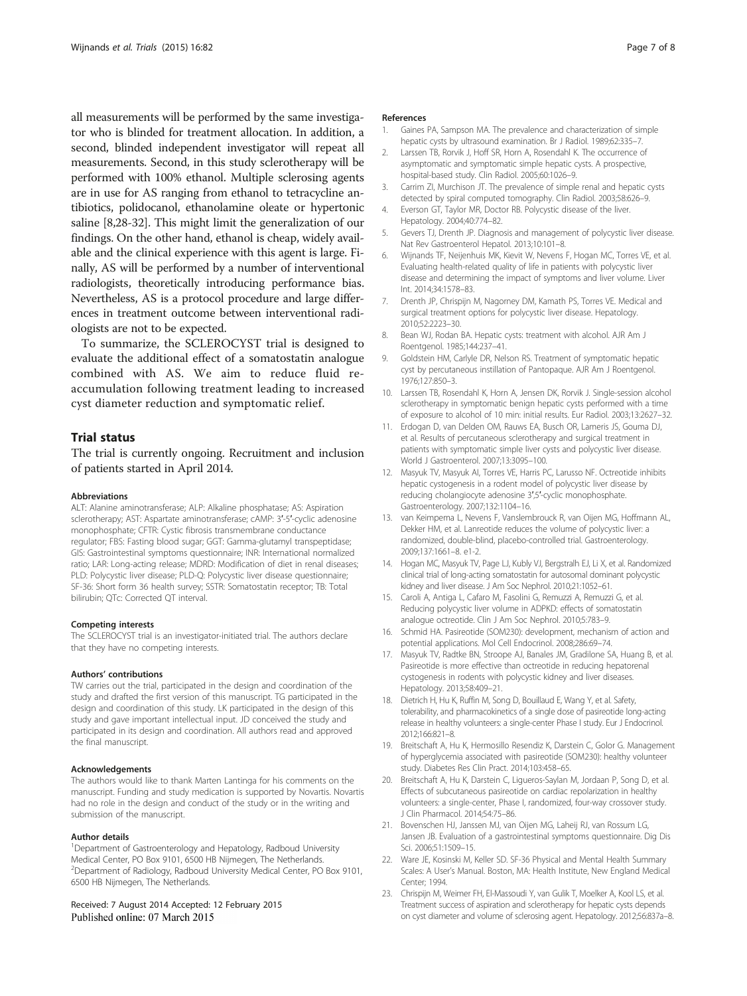<span id="page-6-0"></span>all measurements will be performed by the same investigator who is blinded for treatment allocation. In addition, a second, blinded independent investigator will repeat all measurements. Second, in this study sclerotherapy will be performed with 100% ethanol. Multiple sclerosing agents are in use for AS ranging from ethanol to tetracycline antibiotics, polidocanol, ethanolamine oleate or hypertonic saline [8[,28-32\]](#page-7-0). This might limit the generalization of our findings. On the other hand, ethanol is cheap, widely available and the clinical experience with this agent is large. Finally, AS will be performed by a number of interventional radiologists, theoretically introducing performance bias. Nevertheless, AS is a protocol procedure and large differences in treatment outcome between interventional radiologists are not to be expected.

To summarize, the SCLEROCYST trial is designed to evaluate the additional effect of a somatostatin analogue combined with AS. We aim to reduce fluid reaccumulation following treatment leading to increased cyst diameter reduction and symptomatic relief.

# Trial status

The trial is currently ongoing. Recruitment and inclusion of patients started in April 2014.

#### Abbreviations

ALT: Alanine aminotransferase; ALP: Alkaline phosphatase; AS: Aspiration sclerotherapy; AST: Aspartate aminotransferase; cAMP: 3′-5′-cyclic adenosine monophosphate; CFTR: Cystic fibrosis transmembrane conductance regulator; FBS: Fasting blood sugar; GGT: Gamma-glutamyl transpeptidase; GIS: Gastrointestinal symptoms questionnaire; INR: International normalized ratio; LAR: Long-acting release; MDRD: Modification of diet in renal diseases; PLD: Polycystic liver disease; PLD-Q: Polycystic liver disease questionnaire; SF-36: Short form 36 health survey; SSTR: Somatostatin receptor; TB: Total bilirubin; QTc: Corrected QT interval.

#### Competing interests

The SCLEROCYST trial is an investigator-initiated trial. The authors declare that they have no competing interests.

#### Authors' contributions

TW carries out the trial, participated in the design and coordination of the study and drafted the first version of this manuscript. TG participated in the design and coordination of this study. LK participated in the design of this study and gave important intellectual input. JD conceived the study and participated in its design and coordination. All authors read and approved the final manuscript.

#### Acknowledgements

The authors would like to thank Marten Lantinga for his comments on the manuscript. Funding and study medication is supported by Novartis. Novartis had no role in the design and conduct of the study or in the writing and submission of the manuscript.

#### Author details

<sup>1</sup>Department of Gastroenterology and Hepatology, Radboud University Medical Center, PO Box 9101, 6500 HB Nijmegen, The Netherlands. <sup>2</sup>Department of Radiology, Radboud University Medical Center, PO Box 9101, 6500 HB Nijmegen, The Netherlands.

#### Received: 7 August 2014 Accepted: 12 February 2015 Published online: 07 March 2015

#### References

- 1. Gaines PA, Sampson MA. The prevalence and characterization of simple hepatic cysts by ultrasound examination. Br J Radiol. 1989;62:335–7.
- Larssen TB, Rorvik J, Hoff SR, Horn A, Rosendahl K. The occurrence of asymptomatic and symptomatic simple hepatic cysts. A prospective, hospital-based study. Clin Radiol. 2005;60:1026–9.
- 3. Carrim ZI, Murchison JT. The prevalence of simple renal and hepatic cysts detected by spiral computed tomography. Clin Radiol. 2003;58:626–9.
- 4. Everson GT, Taylor MR, Doctor RB. Polycystic disease of the liver. Hepatology. 2004;40:774–82.
- 5. Gevers TJ, Drenth JP. Diagnosis and management of polycystic liver disease. Nat Rev Gastroenterol Hepatol. 2013;10:101–8.
- 6. Wijnands TF, Neijenhuis MK, Kievit W, Nevens F, Hogan MC, Torres VE, et al. Evaluating health-related quality of life in patients with polycystic liver disease and determining the impact of symptoms and liver volume. Liver Int. 2014;34:1578–83.
- 7. Drenth JP, Chrispijn M, Nagorney DM, Kamath PS, Torres VE. Medical and surgical treatment options for polycystic liver disease. Hepatology. 2010;52:2223–30.
- 8. Bean WJ, Rodan BA. Hepatic cysts: treatment with alcohol. AJR Am J Roentgenol. 1985;144:237–41.
- 9. Goldstein HM, Carlyle DR, Nelson RS. Treatment of symptomatic hepatic cyst by percutaneous instillation of Pantopaque. AJR Am J Roentgenol. 1976;127:850–3.
- 10. Larssen TB, Rosendahl K, Horn A, Jensen DK, Rorvik J. Single-session alcohol sclerotherapy in symptomatic benign hepatic cysts performed with a time of exposure to alcohol of 10 min: initial results. Eur Radiol. 2003;13:2627–32.
- 11. Erdogan D, van Delden OM, Rauws EA, Busch OR, Lameris JS, Gouma DJ, et al. Results of percutaneous sclerotherapy and surgical treatment in patients with symptomatic simple liver cysts and polycystic liver disease. World J Gastroenterol. 2007;13:3095–100.
- 12. Masyuk TV, Masyuk AI, Torres VE, Harris PC, Larusso NF. Octreotide inhibits hepatic cystogenesis in a rodent model of polycystic liver disease by reducing cholangiocyte adenosine 3′,5′-cyclic monophosphate. Gastroenterology. 2007;132:1104–16.
- 13. van Keimpema L, Nevens F, Vanslembrouck R, van Oijen MG, Hoffmann AL, Dekker HM, et al. Lanreotide reduces the volume of polycystic liver: a randomized, double-blind, placebo-controlled trial. Gastroenterology. 2009;137:1661–8. e1-2.
- 14. Hogan MC, Masyuk TV, Page LJ, Kubly VJ, Bergstralh EJ, Li X, et al. Randomized clinical trial of long-acting somatostatin for autosomal dominant polycystic kidney and liver disease. J Am Soc Nephrol. 2010;21:1052–61.
- 15. Caroli A, Antiga L, Cafaro M, Fasolini G, Remuzzi A, Remuzzi G, et al. Reducing polycystic liver volume in ADPKD: effects of somatostatin analogue octreotide. Clin J Am Soc Nephrol. 2010;5:783–9.
- 16. Schmid HA. Pasireotide (SOM230): development, mechanism of action and potential applications. Mol Cell Endocrinol. 2008;286:69–74.
- 17. Masyuk TV, Radtke BN, Stroope AJ, Banales JM, Gradilone SA, Huang B, et al. Pasireotide is more effective than octreotide in reducing hepatorenal cystogenesis in rodents with polycystic kidney and liver diseases. Hepatology. 2013;58:409–21.
- 18. Dietrich H, Hu K, Ruffin M, Song D, Bouillaud E, Wang Y, et al. Safety, tolerability, and pharmacokinetics of a single dose of pasireotide long-acting release in healthy volunteers: a single-center Phase I study. Eur J Endocrinol. 2012;166:821–8.
- 19. Breitschaft A, Hu K, Hermosillo Resendiz K, Darstein C, Golor G. Management of hyperglycemia associated with pasireotide (SOM230): healthy volunteer study. Diabetes Res Clin Pract. 2014;103:458–65.
- 20. Breitschaft A, Hu K, Darstein C, Ligueros-Saylan M, Jordaan P, Song D, et al. Effects of subcutaneous pasireotide on cardiac repolarization in healthy volunteers: a single-center, Phase I, randomized, four-way crossover study. J Clin Pharmacol. 2014;54:75–86.
- 21. Bovenschen HJ, Janssen MJ, van Oijen MG, Laheij RJ, van Rossum LG, Jansen JB. Evaluation of a gastrointestinal symptoms questionnaire. Dig Dis Sci. 2006;51:1509–15.
- 22. Ware JE, Kosinski M, Keller SD. SF-36 Physical and Mental Health Summary Scales: A User's Manual. Boston, MA: Health Institute, New England Medical Center; 1994.
- 23. Chrispijn M, Weimer FH, El-Massoudi Y, van Gulik T, Moelker A, Kool LS, et al. Treatment success of aspiration and sclerotherapy for hepatic cysts depends on cyst diameter and volume of sclerosing agent. Hepatology. 2012;56:837a–8.